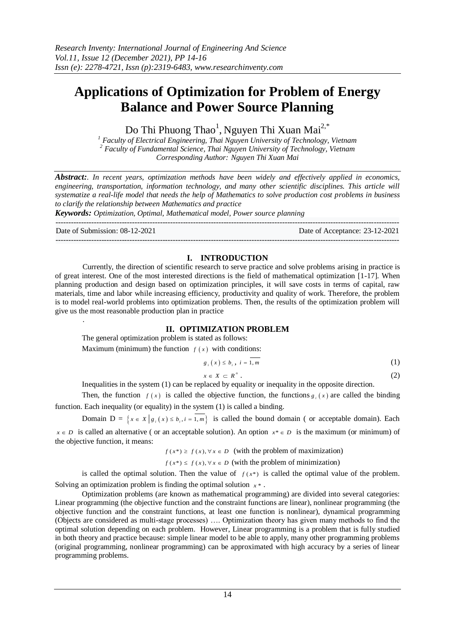# **Applications of Optimization for Problem of Energy Balance and Power Source Planning**

Do Thi Phuong Thao<sup>1</sup>, Nguyen Thi Xuan Mai<sup>2,\*</sup>

*<sup>1</sup> Faculty of Electrical Engineering, Thai Nguyen University of Technology, Vietnam <sup>2</sup> Faculty of Fundamental Science, Thai Nguyen University of Technology, Vietnam Corresponding Author: Nguyen Thi Xuan Mai*

*Abstract:. In recent years, optimization methods have been widely and effectively applied in economics, engineering, transportation, information technology, and many other scientific disciplines. This article will systematize a real-life model that needs the help of Mathematics to solve production cost problems in business to clarify the relationship between Mathematics and practice*

*Keywords: Optimization, Optimal, Mathematical model, Power source planning* ---------------------------------------------------------------------------------------------------------------------------------------

Date of Submission: 08-12-2021 Date of Acceptance: 23-12-2021

.

 $-1\leq i\leq n-1$ 

## **I. INTRODUCTION**

Currently, the direction of scientific research to serve practice and solve problems arising in practice is of great interest. One of the most interested directions is the field of mathematical optimization [1-17]. When planning production and design based on optimization principles, it will save costs in terms of capital, raw materials, time and labor while increasing efficiency, productivity and quality of work. Therefore, the problem is to model real-world problems into optimization problems. Then, the results of the optimization problem will give us the most reasonable production plan in practice

# **II. OPTIMIZATION PROBLEM**

The general optimization problem is stated as follows:

Maximum (minimum) the function  $f(x)$  with conditions:

$$
g_{i}(x) \leq b_{i}, \quad i = 1, m \tag{1}
$$

$$
x \in X \subset R^n \tag{2}
$$

Inequalities in the system (1) can be replaced by equality or inequality in the opposite direction.

Then, the function  $f(x)$  is called the objective function, the functions  $g_i(x)$  are called the binding function. Each inequality (or equality) in the system (1) is called a binding.

Domain  $D = \{x \in X \mid g_i(x) \le b_i, i = \overline{1,m}\}\$ is called the bound domain (or acceptable domain). Each  $x \in D$  is called an alternative (or an acceptable solution). An option  $x^* \in D$  is the maximum (or minimum) of the objective function, it means:

 $f(x^*) \ge f(x), \forall x \in D$  (with the problem of maximization)

 $f(x^*) \le f(x), \forall x \in D$  (with the problem of minimization)

is called the optimal solution. Then the value of  $f(x^*)$  is called the optimal value of the problem. Solving an optimization problem is finding the optimal solution  $x^*$ .

Optimization problems (are known as mathematical programming) are divided into several categories: Linear programming (the objective function and the constraint functions are linear), nonlinear programming (the objective function and the constraint functions, at least one function is nonlinear), dynamical programming (Objects are considered as multi-stage processes) …. Optimization theory has given many methods to find the optimal solution depending on each problem. However, Linear programming is a problem that is fully studied in both theory and practice because: simple linear model to be able to apply, many other programming problems (original programming, nonlinear programming) can be approximated with high accuracy by a series of linear programming problems.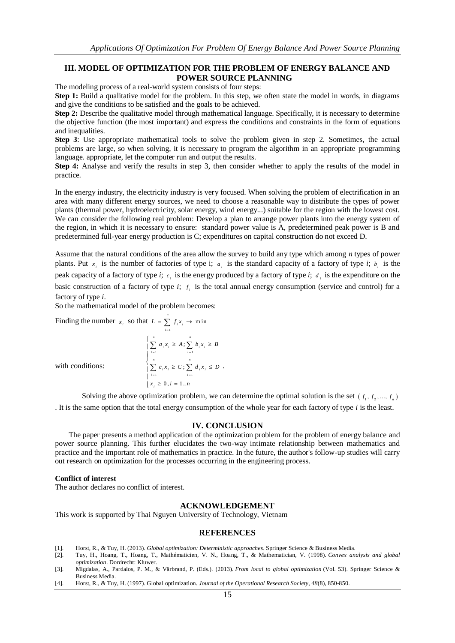## **III. MODEL OF OPTIMIZATION FOR THE PROBLEM OF ENERGY BALANCE AND POWER SOURCE PLANNING**

The modeling process of a real-world system consists of four steps:

**Step 1:** Build a qualitative model for the problem. In this step, we often state the model in words, in diagrams and give the conditions to be satisfied and the goals to be achieved.

**Step 2:** Describe the qualitative model through mathematical language. Specifically, it is necessary to determine the objective function (the most important) and express the conditions and constraints in the form of equations and inequalities.

**Step 3**: Use appropriate mathematical tools to solve the problem given in step 2. Sometimes, the actual problems are large, so when solving, it is necessary to program the algorithm in an appropriate programming language. appropriate, let the computer run and output the results.

**Step 4:** Analyse and verify the results in step 3, then consider whether to apply the results of the model in practice.

In the energy industry, the electricity industry is very focused. When solving the problem of electrification in an area with many different energy sources, we need to choose a reasonable way to distribute the types of power plants (thermal power, hydroelectricity, solar energy, wind energy...) suitable for the region with the lowest cost. We can consider the following real problem: Develop a plan to arrange power plants into the energy system of the region, in which it is necessary to ensure: standard power value is A, predetermined peak power is B and predetermined full-year energy production is C; expenditures on capital construction do not exceed D.

Assume that the natural conditions of the area allow the survey to build any type which among *n* types of power plants. Put  $x_i$  is the number of factories of type i;  $a_i$  is the standard capacity of a factory of type *i*;  $b_i$  is the peak capacity of a factory of type *i*;  $c_i$  is the energy produced by a factory of type *i*;  $d_i$  is the expenditure on the basic construction of a factory of type  $i$ ;  $f_i$  is the total annual energy consumption (service and control) for a factory of type *i*.

So the mathematical model of the problem becomes:

Finding the number  $x_i$  so that  $L = \sum_{i=1}^{n}$ 1 *i*  $\equiv$ 

with conditions:

$$
\begin{aligned} \text{It } L &= \sum_{i=1} f_i x_i \to \min\\ \left[ \sum_{i=1}^n a_i x_i \ge A; \sum_{i=1}^n b_i x_i \ge B \right] \\ &\left. \sum_{i=1}^n c_i x_i \ge C; \sum_{i=1}^n d_i x_i \le D \right. \\ &\left. \sum_{i=1}^n c_i x_i \ge 0, i = 1..n \right] \end{aligned}
$$

Solving the above optimization problem, we can determine the optimal solution is the set  $(f_1, f_2, ..., f_n)$ . It is the same option that the total energy consumption of the whole year for each factory of type *i* is the least.

### **IV. CONCLUSION**

The paper presents a method application of the optimization problem for the problem of energy balance and power source planning. This further elucidates the two-way intimate relationship between mathematics and practice and the important role of mathematics in practice. In the future, the author's follow-up studies will carry out research on optimization for the processes occurring in the engineering process.

#### **Conflict of interest**

The author declares no conflict of interest.

#### **ACKNOWLEDGEMENT**

This work is supported by Thai Nguyen University of Technology, Vietnam

#### **REFERENCES**

- [1]. Horst, R., & Tuy, H. (2013). *Global optimization: Deterministic approaches*. Springer Science & Business Media.
- [2]. Tuy, H., Hoang, T., Hoang, T., Mathématicien, V. N., Hoang, T., & Mathematician, V. (1998). *Convex analysis and global optimization*. Dordrecht: Kluwer.
- [3]. Migdalas, A., Pardalos, P. M., & Värbrand, P. (Eds.). (2013). *From local to global optimization* (Vol. 53). Springer Science & Business Media.
- [4]. Horst, R., & Tuy, H. (1997). Global optimization. *Journal of the Operational Research Society*, *48*(8), 850-850.